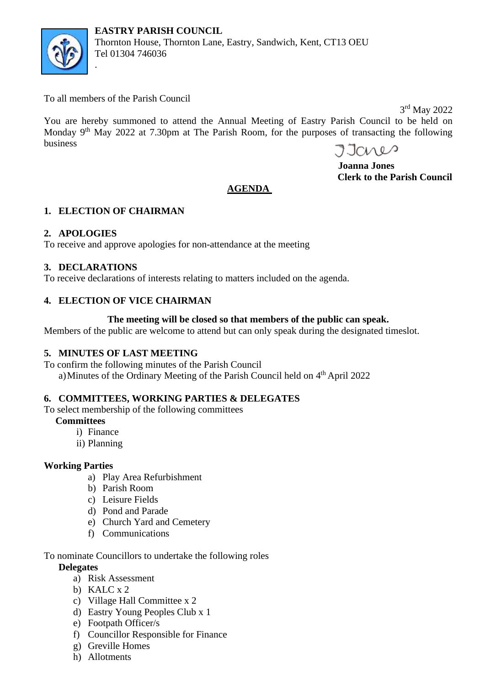

To all members of the Parish Council

.

 3 rd May 2022 You are hereby summoned to attend the Annual Meeting of Eastry Parish Council to be held on Monday 9<sup>th</sup> May 2022 at 7.30pm at The Parish Room, for the purposes of transacting the following business

Jares

 **Joanna Jones Clerk to the Parish Council**

# **AGENDA**

## **1. ELECTION OF CHAIRMAN**

## **2. APOLOGIES**

To receive and approve apologies for non-attendance at the meeting

### **3. DECLARATIONS**

To receive declarations of interests relating to matters included on the agenda.

### **4. ELECTION OF VICE CHAIRMAN**

### **The meeting will be closed so that members of the public can speak.**

Members of the public are welcome to attend but can only speak during the designated timeslot.

### **5. MINUTES OF LAST MEETING**

To confirm the following minutes of the Parish Council a) Minutes of the Ordinary Meeting of the Parish Council held on 4<sup>th</sup> April 2022

## **6. COMMITTEES, WORKING PARTIES & DELEGATES**

To select membership of the following committees

### **Committees**

- i) Finance
- ii) Planning

### **Working Parties**

- a) Play Area Refurbishment
- b) Parish Room
- c) Leisure Fields
- d) Pond and Parade
- e) Church Yard and Cemetery
- f) Communications

### To nominate Councillors to undertake the following roles

### **Delegates**

- a) Risk Assessment
- b) KALC x 2
- c) Village Hall Committee x 2
- d) Eastry Young Peoples Club x 1
- e) Footpath Officer/s
- f) Councillor Responsible for Finance
- g) Greville Homes
- h) Allotments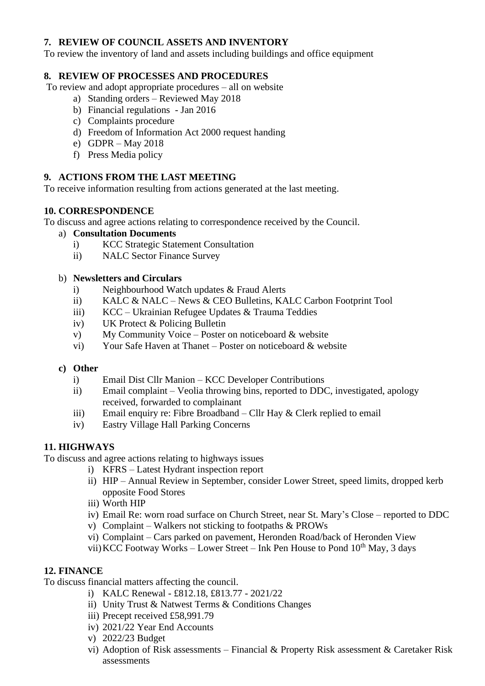### **7. REVIEW OF COUNCIL ASSETS AND INVENTORY**

To review the inventory of land and assets including buildings and office equipment

### **8. REVIEW OF PROCESSES AND PROCEDURES**

To review and adopt appropriate procedures – all on website

- a) Standing orders Reviewed May 2018
- b) Financial regulations Jan 2016
- c) Complaints procedure
- d) Freedom of Information Act 2000 request handing
- e) GDPR May 2018
- f) Press Media policy

### **9. ACTIONS FROM THE LAST MEETING**

To receive information resulting from actions generated at the last meeting.

### **10. CORRESPONDENCE**

To discuss and agree actions relating to correspondence received by the Council.

- a) **Consultation Documents** 
	- i) KCC Strategic Statement Consultation
	- ii) NALC Sector Finance Survey

#### b) **Newsletters and Circulars**

- i) Neighbourhood Watch updates & Fraud Alerts
- ii) KALC & NALC News & CEO Bulletins, KALC Carbon Footprint Tool
- iii) KCC Ukrainian Refugee Updates & Trauma Teddies
- iv) UK Protect & Policing Bulletin
- v) My Community Voice Poster on noticeboard & website
- vi) Your Safe Haven at Thanet Poster on noticeboard & website

#### **c) Other**

- i) Email Dist Cllr Manion KCC Developer Contributions
- ii) Email complaint Veolia throwing bins, reported to DDC, investigated, apology received, forwarded to complainant
- iii) Email enquiry re: Fibre Broadband Cllr Hay & Clerk replied to email
- iv) Eastry Village Hall Parking Concerns

### **11. HIGHWAYS**

To discuss and agree actions relating to highways issues

- i) KFRS Latest Hydrant inspection report
- ii) HIP Annual Review in September, consider Lower Street, speed limits, dropped kerb opposite Food Stores
- iii) Worth HIP
- iv) Email Re: worn road surface on Church Street, near St. Mary's Close reported to DDC
- v) Complaint Walkers not sticking to footpaths & PROWs
- vi) Complaint Cars parked on pavement, Heronden Road/back of Heronden View
- vii) KCC Footway Works Lower Street Ink Pen House to Pond  $10<sup>th</sup>$  May, 3 days

### **12. FINANCE**

To discuss financial matters affecting the council.

- i) KALC Renewal £812.18, £813.77 2021/22
- ii) Unity Trust & Natwest Terms & Conditions Changes
- iii) Precept received £58,991.79
- iv) 2021/22 Year End Accounts
- v) 2022/23 Budget
- vi) Adoption of Risk assessments Financial & Property Risk assessment & Caretaker Risk assessments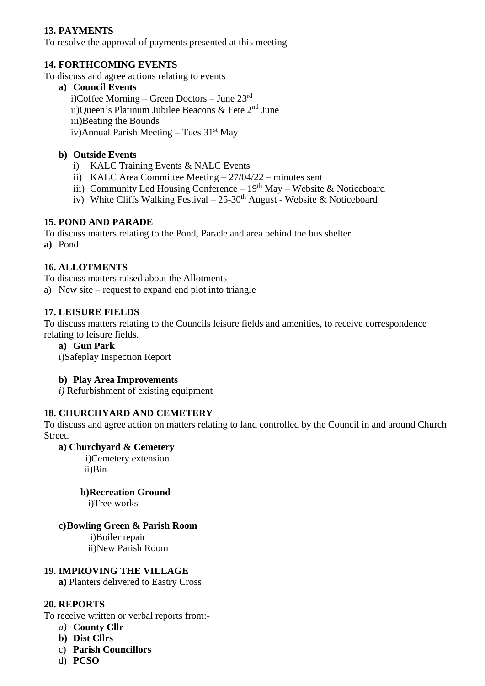## **13. PAYMENTS**

To resolve the approval of payments presented at this meeting

### **14. FORTHCOMING EVENTS**

To discuss and agree actions relating to events

**a) Council Events** i)Coffee Morning – Green Doctors – June 23rd ii)Queen's Platinum Jubilee Beacons & Fete 2<sup>nd</sup> June iii)Beating the Bounds iv)Annual Parish Meeting – Tues  $31<sup>st</sup>$  May

### **b) Outside Events**

- i) KALC Training Events & NALC Events
- ii) KALC Area Committee Meeting 27/04/22 minutes sent
- iii) Community Led Housing Conference  $19<sup>th</sup>$  May Website & Noticeboard
- iv) White Cliffs Walking Festival  $25-30$ <sup>th</sup> August Website & Noticeboard

### **15. POND AND PARADE**

To discuss matters relating to the Pond, Parade and area behind the bus shelter.

**a)** Pond

### **16. ALLOTMENTS**

To discuss matters raised about the Allotments

a) New site – request to expand end plot into triangle

### **17. LEISURE FIELDS**

To discuss matters relating to the Councils leisure fields and amenities, to receive correspondence relating to leisure fields.

#### **a) Gun Park**

i)Safeplay Inspection Report

### **b) Play Area Improvements**

*i)* Refurbishment of existing equipment

### **18. CHURCHYARD AND CEMETERY**

To discuss and agree action on matters relating to land controlled by the Council in and around Church Street.

### **a) Churchyard & Cemetery**

 i)Cemetery extension ii)Bin

**b)Recreation Ground**

i)Tree works

### **c)Bowling Green & Parish Room**

 i)Boiler repair ii)New Parish Room

#### **19. IMPROVING THE VILLAGE**

**a)** Planters delivered to Eastry Cross

### **20. REPORTS**

To receive written or verbal reports from:-

- *a)* **County Cllr**
- **b) Dist Cllrs**
- c) **Parish Councillors**
- d) **PCSO**